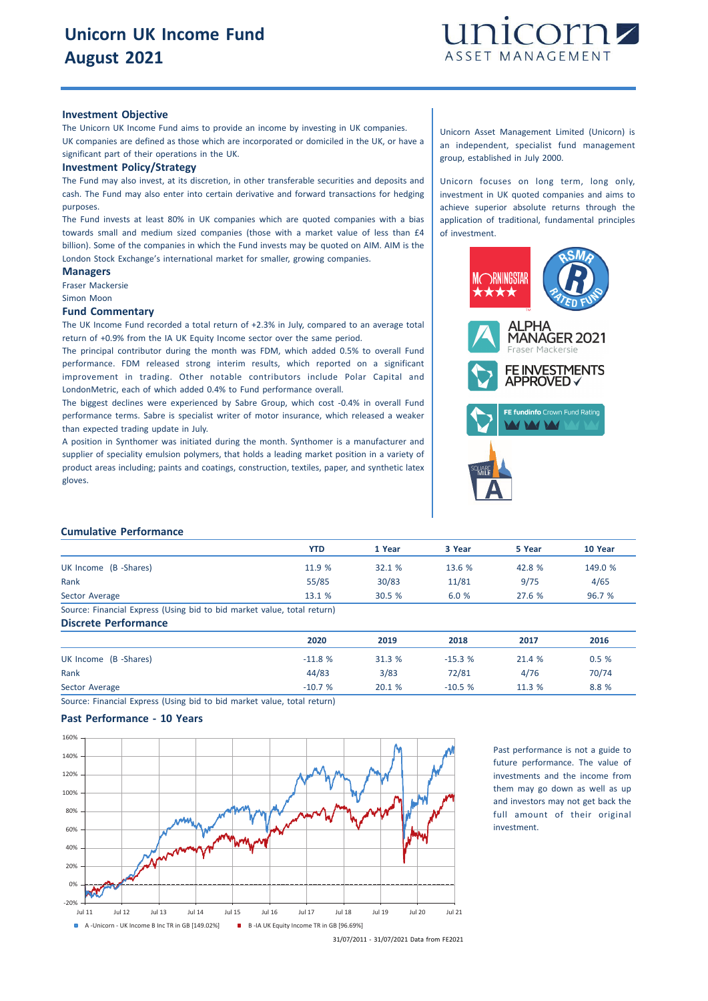

#### **Investment Objective**

The Unicorn UK Income Fund aims to provide an income by investing in UK companies. UK companies are defined as those which are incorporated or domiciled in the UK, or have a significant part of their operations in the UK.

#### **Investment Policy/Strategy**

The Fund may also invest, at its discretion, in other transferable securities and deposits and cash. The Fund may also enter into certain derivative and forward transactions for hedging purposes.

The Fund invests at least 80% in UK companies which are quoted companies with a bias towards small and medium sized companies (those with a market value of less than £4 billion). Some of the companies in which the Fund invests may be quoted on AIM. AIM is the London Stock Exchange's international market for smaller, growing companies.

## **Managers**

Fraser Mackersie Simon Moon

## **Fund Commentary**

The UK Income Fund recorded a total return of +2.3% in July, compared to an average total return of +0.9% from the IA UK Equity Income sector over the same period.

The principal contributor during the month was FDM, which added 0.5% to overall Fund performance. FDM released strong interim results, which reported on a significant improvement in trading. Other notable contributors include Polar Capital and LondonMetric, each of which added 0.4% to Fund performance overall.

The biggest declines were experienced by Sabre Group, which cost -0.4% in overall Fund performance terms. Sabre is specialist writer of motor insurance, which released a weaker than expected trading update in July.

A position in Synthomer was initiated during the month. Synthomer is a manufacturer and supplier of speciality emulsion polymers, that holds a leading market position in a variety of product areas including; paints and coatings, construction, textiles, paper, and synthetic latex gloves.

Unicorn Asset Management Limited (Unicorn) is an independent, specialist fund management group, established in July 2000.

Unicorn focuses on long term, long only, investment in UK quoted companies and aims to achieve superior absolute returns through the application of traditional, fundamental principles of investment.



#### **Cumulative Performance**

|                                                                         | YTD    | 1 Year | 3 Year | 5 Year | 10 Year |
|-------------------------------------------------------------------------|--------|--------|--------|--------|---------|
| UK Income (B -Shares)                                                   | 11.9 % | 32.1%  | 13.6%  | 42.8 % | 149.0 % |
| Rank                                                                    | 55/85  | 30/83  | 11/81  | 9/75   | 4/65    |
| Sector Average                                                          | 13.1%  | 30.5%  | 6.0%   | 27.6%  | 96.7 %  |
| Source: Financial Express (Using bid to bid market value, total return) |        |        |        |        |         |
| <b>Discrete Performance</b>                                             |        |        |        |        |         |

**2020 2019 2018 2017 2016** UK Income (B -Shares) 0.5 % 21.4 % 31.3 % 31.3 % 31.3 % 31.3 % 21.4 % 0.5 % Rank 44/83 3/83 72/81 4/76 70/74 Sector Average -10.7 % 20.1 % -10.5 % 11.3 % 8.8 %

Source: Financial Express (Using bid to bid market value, total return)

## **Past Performance - 10 Years**



Past performance is not a guide to future performance. The value of investments and the income from them may go down as well as up and investors may not get back the full amount of their original investment.

<sup>31/07/2011</sup> - 31/07/2021 Data from FE2021